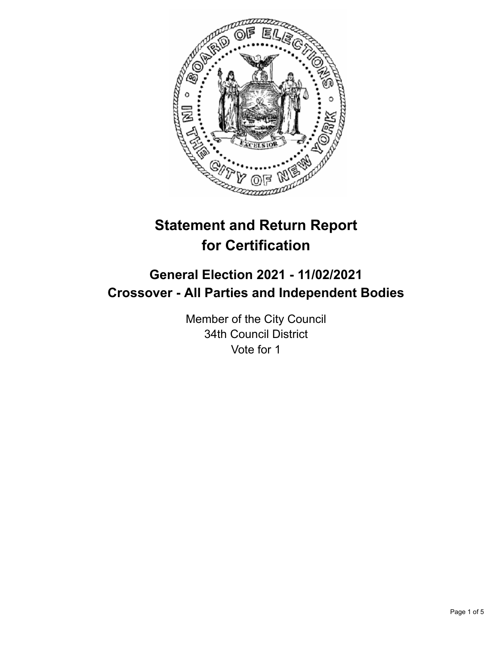

# **Statement and Return Report for Certification**

## **General Election 2021 - 11/02/2021 Crossover - All Parties and Independent Bodies**

Member of the City Council 34th Council District Vote for 1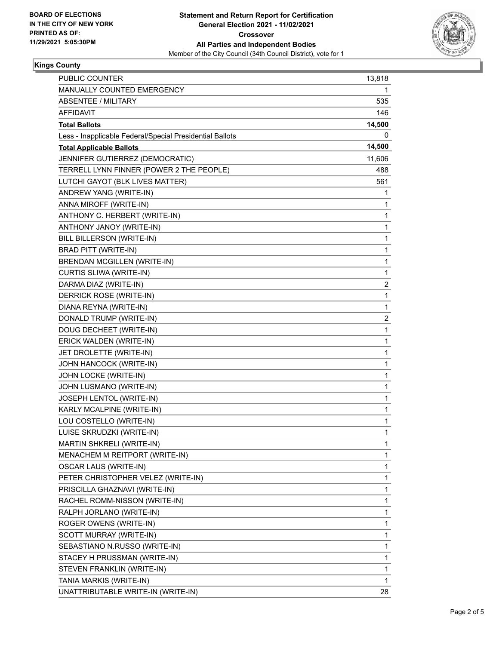

### **Kings County**

| PUBLIC COUNTER                                           | 13,818                  |
|----------------------------------------------------------|-------------------------|
| MANUALLY COUNTED EMERGENCY                               | 1                       |
| <b>ABSENTEE / MILITARY</b>                               | 535                     |
| <b>AFFIDAVIT</b>                                         | 146                     |
| <b>Total Ballots</b>                                     | 14,500                  |
| Less - Inapplicable Federal/Special Presidential Ballots | 0                       |
| <b>Total Applicable Ballots</b>                          | 14,500                  |
| JENNIFER GUTIERREZ (DEMOCRATIC)                          | 11,606                  |
| TERRELL LYNN FINNER (POWER 2 THE PEOPLE)                 | 488                     |
| LUTCHI GAYOT (BLK LIVES MATTER)                          | 561                     |
| ANDREW YANG (WRITE-IN)                                   | 1                       |
| ANNA MIROFF (WRITE-IN)                                   | 1                       |
| ANTHONY C. HERBERT (WRITE-IN)                            | 1                       |
| ANTHONY JANOY (WRITE-IN)                                 | 1                       |
| BILL BILLERSON (WRITE-IN)                                | $\mathbf{1}$            |
| <b>BRAD PITT (WRITE-IN)</b>                              | 1                       |
| <b>BRENDAN MCGILLEN (WRITE-IN)</b>                       | 1                       |
| CURTIS SLIWA (WRITE-IN)                                  | $\mathbf{1}$            |
| DARMA DIAZ (WRITE-IN)                                    | $\overline{\mathbf{c}}$ |
| DERRICK ROSE (WRITE-IN)                                  | 1                       |
| DIANA REYNA (WRITE-IN)                                   | $\mathbf{1}$            |
| DONALD TRUMP (WRITE-IN)                                  | $\overline{\mathbf{c}}$ |
| DOUG DECHEET (WRITE-IN)                                  | 1                       |
| ERICK WALDEN (WRITE-IN)                                  | $\mathbf 1$             |
| JET DROLETTE (WRITE-IN)                                  | 1                       |
| JOHN HANCOCK (WRITE-IN)                                  | 1                       |
| JOHN LOCKE (WRITE-IN)                                    | $\mathbf{1}$            |
| JOHN LUSMANO (WRITE-IN)                                  | 1                       |
| JOSEPH LENTOL (WRITE-IN)                                 | 1                       |
| KARLY MCALPINE (WRITE-IN)                                | $\mathbf 1$             |
| LOU COSTELLO (WRITE-IN)                                  | 1                       |
| LUISE SKRUDZKI (WRITE-IN)                                | 1                       |
| <b>MARTIN SHKRELI (WRITE-IN)</b>                         | 1                       |
| MENACHEM M REITPORT (WRITE-IN)                           | 1                       |
| <b>OSCAR LAUS (WRITE-IN)</b>                             | 1                       |
| PETER CHRISTOPHER VELEZ (WRITE-IN)                       | $\mathbf{1}$            |
| PRISCILLA GHAZNAVI (WRITE-IN)                            | 1                       |
| RACHEL ROMM-NISSON (WRITE-IN)                            | 1                       |
| RALPH JORLANO (WRITE-IN)                                 | 1                       |
| ROGER OWENS (WRITE-IN)                                   | 1                       |
| SCOTT MURRAY (WRITE-IN)                                  | 1                       |
| SEBASTIANO N.RUSSO (WRITE-IN)                            | 1                       |
| STACEY H PRUSSMAN (WRITE-IN)                             | 1                       |
| STEVEN FRANKLIN (WRITE-IN)                               | 1                       |
| TANIA MARKIS (WRITE-IN)                                  | 1                       |
| UNATTRIBUTABLE WRITE-IN (WRITE-IN)                       | 28                      |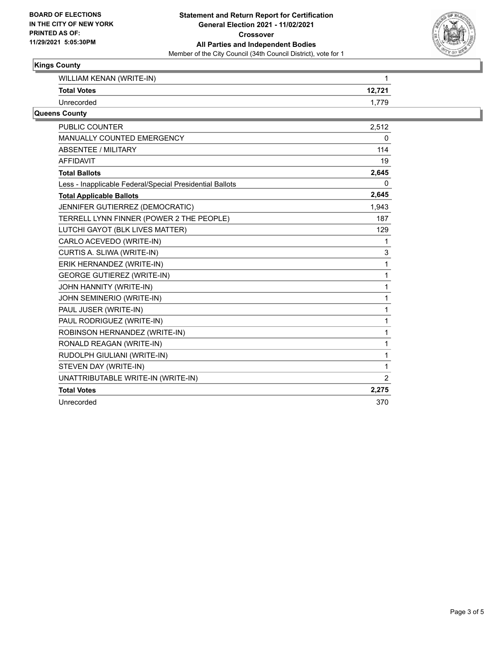

### **Kings County**

| WILLIAM KENAN (WRITE-IN)                                 | 1              |
|----------------------------------------------------------|----------------|
| <b>Total Votes</b>                                       | 12,721         |
| Unrecorded                                               | 1,779          |
| Queens County                                            |                |
| <b>PUBLIC COUNTER</b>                                    | 2,512          |
| MANUALLY COUNTED EMERGENCY                               | 0              |
| ABSENTEE / MILITARY                                      | 114            |
| <b>AFFIDAVIT</b>                                         | 19             |
| <b>Total Ballots</b>                                     | 2,645          |
| Less - Inapplicable Federal/Special Presidential Ballots | 0              |
| <b>Total Applicable Ballots</b>                          | 2,645          |
| JENNIFER GUTIERREZ (DEMOCRATIC)                          | 1,943          |
| TERRELL LYNN FINNER (POWER 2 THE PEOPLE)                 | 187            |
| LUTCHI GAYOT (BLK LIVES MATTER)                          | 129            |
| CARLO ACEVEDO (WRITE-IN)                                 |                |
| CURTIS A. SLIWA (WRITE-IN)                               | 3              |
| ERIK HERNANDEZ (WRITE-IN)                                | 1              |
| <b>GEORGE GUTIEREZ (WRITE-IN)</b>                        | 1              |
| JOHN HANNITY (WRITE-IN)                                  |                |
| JOHN SEMINERIO (WRITE-IN)                                | 1              |
| PAUL JUSER (WRITE-IN)                                    | 1              |
| PAUL RODRIGUEZ (WRITE-IN)                                | 1              |
| ROBINSON HERNANDEZ (WRITE-IN)                            | 1              |
| RONALD REAGAN (WRITE-IN)                                 | 1              |
| RUDOLPH GIULIANI (WRITE-IN)                              | 1              |
| STEVEN DAY (WRITE-IN)                                    | 1              |
| UNATTRIBUTABLE WRITE-IN (WRITE-IN)                       | $\overline{2}$ |
| <b>Total Votes</b>                                       | 2,275          |
| Unrecorded                                               | 370            |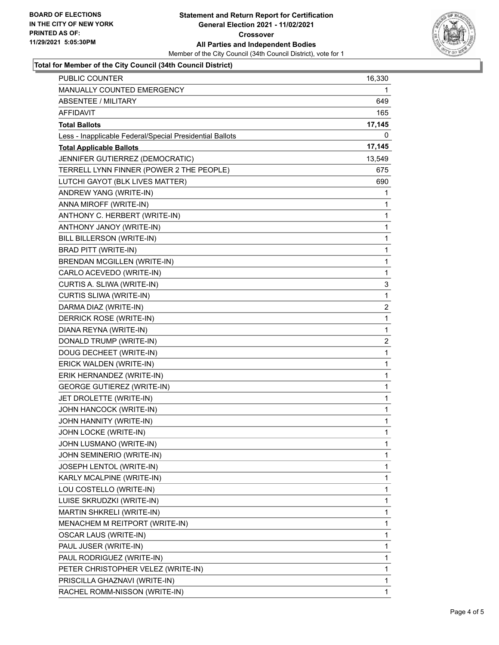

#### **Total for Member of the City Council (34th Council District)**

| PUBLIC COUNTER                                           | 16,330      |
|----------------------------------------------------------|-------------|
| MANUALLY COUNTED EMERGENCY                               | 1           |
| <b>ABSENTEE / MILITARY</b>                               | 649         |
| AFFIDAVIT                                                | 165         |
| <b>Total Ballots</b>                                     | 17,145      |
| Less - Inapplicable Federal/Special Presidential Ballots | 0           |
| <b>Total Applicable Ballots</b>                          | 17,145      |
| JENNIFER GUTIERREZ (DEMOCRATIC)                          | 13,549      |
| TERRELL LYNN FINNER (POWER 2 THE PEOPLE)                 | 675         |
| LUTCHI GAYOT (BLK LIVES MATTER)                          | 690         |
| ANDREW YANG (WRITE-IN)                                   | 1           |
| ANNA MIROFF (WRITE-IN)                                   | 1           |
| ANTHONY C. HERBERT (WRITE-IN)                            | 1           |
| ANTHONY JANOY (WRITE-IN)                                 | 1           |
| BILL BILLERSON (WRITE-IN)                                | 1           |
| BRAD PITT (WRITE-IN)                                     | 1           |
| <b>BRENDAN MCGILLEN (WRITE-IN)</b>                       | 1           |
| CARLO ACEVEDO (WRITE-IN)                                 | 1           |
| CURTIS A. SLIWA (WRITE-IN)                               | 3           |
| CURTIS SLIWA (WRITE-IN)                                  | 1           |
| DARMA DIAZ (WRITE-IN)                                    | 2           |
| DERRICK ROSE (WRITE-IN)                                  | 1           |
| DIANA REYNA (WRITE-IN)                                   | 1           |
| DONALD TRUMP (WRITE-IN)                                  | 2           |
| DOUG DECHEET (WRITE-IN)                                  | 1           |
| ERICK WALDEN (WRITE-IN)                                  | $\mathbf 1$ |
| ERIK HERNANDEZ (WRITE-IN)                                | 1           |
| <b>GEORGE GUTIEREZ (WRITE-IN)</b>                        | 1           |
| JET DROLETTE (WRITE-IN)                                  | 1           |
| JOHN HANCOCK (WRITE-IN)                                  | 1           |
| JOHN HANNITY (WRITE-IN)                                  | 1           |
| JOHN LOCKE (WRITE-IN)                                    | $\mathbf 1$ |
| JOHN LUSMANO (WRITE-IN)                                  | 1           |
| JOHN SEMINERIO (WRITE-IN)                                | 1           |
| JOSEPH LENTOL (WRITE-IN)                                 | 1           |
| KARLY MCALPINE (WRITE-IN)                                | 1           |
| LOU COSTELLO (WRITE-IN)                                  | 1           |
| LUISE SKRUDZKI (WRITE-IN)                                | 1           |
| MARTIN SHKRELI (WRITE-IN)                                | 1           |
| MENACHEM M REITPORT (WRITE-IN)                           | 1           |
| <b>OSCAR LAUS (WRITE-IN)</b>                             | 1           |
| PAUL JUSER (WRITE-IN)                                    | 1           |
| PAUL RODRIGUEZ (WRITE-IN)                                | 1           |
| PETER CHRISTOPHER VELEZ (WRITE-IN)                       | 1           |
| PRISCILLA GHAZNAVI (WRITE-IN)                            | 1           |
| RACHEL ROMM-NISSON (WRITE-IN)                            | 1           |